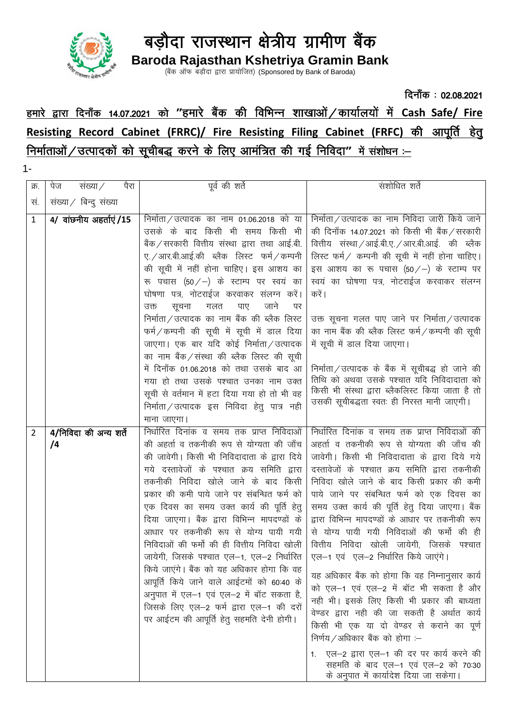

Baroda Rajasthan Kshetriya Gramin Bank<br>(बैंक ऑफ बड़ौदा द्वारा प्रायोजित) (Sponsored by Bank of Baroda)

## दिनाँक: 02.08.2021 हमारे द्वारा दिनाँक 14.07.2021 को "हमारे बैंक की विभिन्न शाखाओं / कार्यालयों में Cash Safe/ Fire Resisting Record Cabinet (FRRC)/ Fire Resisting Filing Cabinet (FRFC) की आपूर्ति हेत निर्माताओं / उत्पादकों को सूचीबद्ध करने के लिए आमंत्रित की गई निविदा" में संशोधन :-

 $1 -$ 

| क्र. | पैरा<br>संख्या ⁄<br>पेज      | पूर्व की शर्ते                                                                                                                                                                                                                                                                                                                                                                                                                                                                                                                                                                                                                                                                                                                            | सशोधित शर्ते                                                                                                                                                                                                                                                                                                                                                                                                                                                                                                                                                                                                                                                                                                                                                                                                                                                                                                                        |
|------|------------------------------|-------------------------------------------------------------------------------------------------------------------------------------------------------------------------------------------------------------------------------------------------------------------------------------------------------------------------------------------------------------------------------------------------------------------------------------------------------------------------------------------------------------------------------------------------------------------------------------------------------------------------------------------------------------------------------------------------------------------------------------------|-------------------------------------------------------------------------------------------------------------------------------------------------------------------------------------------------------------------------------------------------------------------------------------------------------------------------------------------------------------------------------------------------------------------------------------------------------------------------------------------------------------------------------------------------------------------------------------------------------------------------------------------------------------------------------------------------------------------------------------------------------------------------------------------------------------------------------------------------------------------------------------------------------------------------------------|
| स.   | सख्या / बिन्दु संख्या        |                                                                                                                                                                                                                                                                                                                                                                                                                                                                                                                                                                                                                                                                                                                                           |                                                                                                                                                                                                                                                                                                                                                                                                                                                                                                                                                                                                                                                                                                                                                                                                                                                                                                                                     |
| 1    | 4/ वांछनीय अहर्ताएं/15       | निर्माता/उत्पादक का नाम 01.06.2018 को या<br>उसके के बाद किसी भी समय किसी भी<br>बैंक ⁄ सरकारी वित्तीय संस्था द्वारा तथा आई.बी.<br>ए. / आर.बी.आई.की ब्लैक लिस्ट फर्म / कम्पनी<br>की सूची में नहीं होना चाहिए। इस आशय का<br>रू पचास (50/-) के स्टाम्प पर स्वयं का<br>घोषणा पत्र, नोटराईज करवाकर संलग्न करें।<br>जाने<br>पर<br>सूचना<br>पाए<br>गलत<br>उक्त<br>निर्माता/उत्पादक का नाम बैंक की ब्लैक लिस्ट<br>फर्म/कम्पनी की सूची में सूची में डाल दिया<br>जाएगा। एक बार यदि कोई निर्माता / उत्पादक<br>का नाम बैंक / संस्था की ब्लैक लिस्ट की सूची<br>में दिनाँक 01.06.2018 को तथा उसके बाद आ<br>गया हो तथा उसके पश्चात उनका नाम उक्त<br>सूची से वर्तमान में हटा दिया गया हो तो भी वह<br>निर्माता / उत्पादक इस निविदा हेत् पात्र नही           | निर्माता/उत्पादक का नाम निविदा जारी किये जाने<br>की दिनाँक 14.07.2021 को किसी भी बैंक / सरकारी<br>वित्तीय संस्था / आई.बी.ए. / आर.बी.आई. की ब्लैक<br>लिस्ट फर्म / कम्पनी की सूची में नहीं होना चाहिए।<br>इस आशय का रू पचास (50/-) के स्टाम्प पर<br>स्वयं का घोषणा पत्र, नोटराईज करवाकर संलग्न<br>करें ।<br>उक्त सूचना गलत पाए जाने पर निर्माता ⁄ उत्पादक<br>का नाम बैंक की ब्लैक लिस्ट फर्म / कम्पनी की सूची<br>में सूची में डाल दिया जाएगा।<br>निर्माता/उत्पादक के बैंक में सूचीबद्ध हो जाने की<br>तिथि को अथवा उसके पश्चात यदि निविदादाता को<br>किसी भी संस्था द्वारा ब्लैकलिस्ट किया जाता है तो<br>उसकी सूचीबद्धता स्वतः ही निरस्त मानी जाएगी।                                                                                                                                                                                                                                                                                    |
|      |                              | माना जाएगा।                                                                                                                                                                                                                                                                                                                                                                                                                                                                                                                                                                                                                                                                                                                               |                                                                                                                                                                                                                                                                                                                                                                                                                                                                                                                                                                                                                                                                                                                                                                                                                                                                                                                                     |
| 2    | 4/निविदा की अन्य शर्ते<br>/4 | निर्धारित दिनांक व समय तक प्राप्त निविदाओं<br>की अहर्ता व तकनीकी रूप से योग्यता की जाँच<br>की जावेगी। किसी भी निविदादाता के द्वारा दिये<br>गये दस्तावेजों के पश्चात क्रय समिति द्वारा<br>तकनीकी निविदा खोले जाने के बाद किसी<br>प्रकार की कमी पाये जाने पर संबन्धित फर्म को<br>एक दिवस का समय उक्त कार्य की पूर्ति हेतु<br>दिया जाएगा। बैंक द्वारा विभिन्न मापदण्डों के<br>आधार पर तकनीकी रूप से योग्य पायी गयी<br>निविदाओं की फर्मो की ही वित्तीय निविदा खोली<br>जायेगी, जिसके पश्चात एल–1, एल–2 निर्धारित<br>किये जाएंगे। बैंक को यह अधिकार होगा कि वह<br>आपूर्ति किये जाने वाले आईटमों को 60:40 के<br>अनुपात में एल-1 एवं एल-2 में बॉट सकता है,<br>जिसके लिए एल-2 फर्म द्वारा एल-1 की दरों<br>पर आईटम की आपूर्ति हेतु सहमति देनी होगी। | निर्धारित दिनांक व समय तक प्राप्त निविदाओं की<br>अहर्ता व तकनीकी रूप से योग्यता की जाँच की<br>जावेगी। किसी भी निविदादाता के द्वारा दिये गये<br>दस्तावेजों के पश्चात क्रय समिति द्वारा तकनीकी<br>निविदा खोले जाने के बाद किसी प्रकार की कमी<br>पाये जाने पर संबन्धित फर्म को एक दिवस का<br>समय उक्त कार्य की पूर्ति हेतु दिया जाएगा। बैंक<br>द्वारा विभिन्न मापदण्डों के आधार पर तकनीकी रूप<br>से योग्य पायी गयी निविदाओं की फर्मो की ही<br>वित्तीय निविदा खोली जायेगी. जिसके<br>पश्चात<br>एल-1 एवं एल-2 निर्धारित किये जाएंगे।<br>यह अधिकार बैंक को होगा कि वह निम्नानुसार कार्य<br>को एल-1 एवं एल-2 में बॉट भी सकता है और<br>नही भी। इसके लिए किसी भी प्रकार की बाध्यता<br>वेण्डर द्वारा नही की जा सकती है अर्थात कार्य<br>किसी भी एक या दो वेण्डर से कराने का पूर्ण<br>निर्णय/अधिकार बैंक को होगा $-$<br>एल–2 द्वारा एल–1 की दर पर कार्य करने की<br>सहमति के बाद एल–1 एवं एल–2 को 70:30<br>के अनुपात में कार्यादेश दिया जा सकेगा। |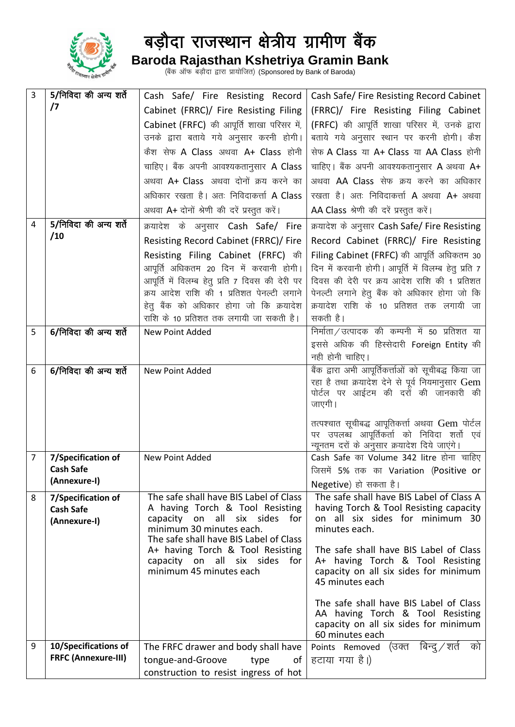

**Baroda Rajasthan Kshetriya Gramin Bank** (बैंक ऑफ बड़ौदा द्वारा प्रायोजित) (Sponsored by Bank of Baroda)

| 3 | 5/निविदा की अन्य शर्ते                 | Cash Safe/ Fire Resisting Record                                                   | Cash Safe/ Fire Resisting Record Cabinet                                                      |
|---|----------------------------------------|------------------------------------------------------------------------------------|-----------------------------------------------------------------------------------------------|
|   | $\sqrt{7}$                             | Cabinet (FRRC)/ Fire Resisting Filing                                              | (FRRC)/ Fire Resisting Filing Cabinet                                                         |
|   |                                        | Cabinet (FRFC) की आपूर्ति शाखा परिसर में,                                          | (FRFC) की आपूर्ति शाखा परिसर में, उनके द्वारा                                                 |
|   |                                        | उनके द्वारा बताये गये अनुसार करनी होगी।                                            | बताये गये अनुसार स्थान पर करनी होगी। कैश                                                      |
|   |                                        | कैश सेफ A Class अथवा A+ Class होनी                                                 | सेफ A Class या A+ Class या AA Class होनी                                                      |
|   |                                        | चाहिए। बैंक अपनी आवश्यकतानुसार A Class                                             | चाहिए । बैंक अपनी आवश्यकतानुसार A अथवा A+                                                     |
|   |                                        | अथवा A+ Class अथवा दोनों क्रय करने का                                              | अथवा AA Class सेफ क्रय करने का अधिकार                                                         |
|   |                                        | अधिकार रखता है। अतः निविदाकर्त्ता A Class                                          | रखता है। अतः निविदाकर्त्ता A अथवा A+ अथवा                                                     |
|   |                                        | अथवा A+ दोनों श्रेणी की दरें प्रस्तुत करें।                                        | AA Class श्रेणी की दरें प्रस्तुत करें।                                                        |
| 4 | 5/निविदा की अन्य शर्ते                 | क्रयादेश के अनुसार Cash Safe/ Fire                                                 | क्रयादेश के अनुसार Cash Safe/ Fire Resisting                                                  |
|   | /10                                    | Resisting Record Cabinet (FRRC)/ Fire                                              | Record Cabinet (FRRC)/ Fire Resisting                                                         |
|   |                                        | Resisting Filing Cabinet (FRFC) की                                                 | Filing Cabinet (FRFC) की आपूर्ति अधिकतम 30                                                    |
|   |                                        | आपूर्ति अधिकतम 20 दिन में करवानी होगी।                                             | दिन में करवानी होगी। आपूर्ति में विलम्ब हेतु प्रति 7                                          |
|   |                                        | आपूर्ति में विलम्ब हेतु प्रति 7 दिवस की देरी पर                                    | दिवस की देरी पर क्रय आदेश राशि की 1 प्रतिशत                                                   |
|   |                                        | क्रय आदेश राशि की 1 प्रतिशत पेनल्टी लगाने                                          | पेनल्टी लगाने हेतु बैंक को अधिकार होगा जो कि                                                  |
|   |                                        | हेतू बैंक को अधिकार होगा जो कि क्रयादेश<br>राशि के 10 प्रतिशत तक लगायी जा सकती है। | क्रयादेश राशि के 10 प्रतिशत तक लगायी जा<br>सकती है।                                           |
| 5 | 6/निविदा की अन्य शर्ते                 | New Point Added                                                                    | निर्माता / उत्पादक की कम्पनी में 50 प्रतिशत या                                                |
|   |                                        |                                                                                    | इससे अधिक की हिस्सेदारी Foreign Entity की                                                     |
|   |                                        |                                                                                    | नही होनी चाहिए।                                                                               |
| 6 | 6/निविदा की अन्य शर्ते                 | New Point Added                                                                    | बैंक द्वारा अभी आपूर्तिकर्त्ताओं को सूचीबद्ध किया जा                                          |
|   |                                        |                                                                                    | रहा है तथा क्रयादेश देने से पूर्व नियमानुसार Gem                                              |
|   |                                        |                                                                                    | पोर्टल पर आईटम की दर्रों की जानकारी की<br>जाएगी।                                              |
|   |                                        |                                                                                    |                                                                                               |
|   |                                        |                                                                                    | तत्पश्चात सूचीबद्ध आपूतिकर्त्ता अथवा Gem पोर्टल<br>पर उपलब्ध आपूर्तिकर्ता को निविदा शर्तो एवं |
|   |                                        |                                                                                    | न्यूनतम दरों के अनुसार क्रयादेश दिये जाएंगे।                                                  |
| 7 | 7/Specification of                     | New Point Added                                                                    | Cash Safe का Volume 342 litre होना चाहिए                                                      |
|   | <b>Cash Safe</b>                       |                                                                                    | जिसमें 5% तक का Variation (Positive or                                                        |
|   | (Annexure-I)                           |                                                                                    | Negetive) हो सकता है।                                                                         |
| 8 | 7/Specification of<br><b>Cash Safe</b> | The safe shall have BIS Label of Class<br>A having Torch & Tool Resisting          | The safe shall have BIS Label of Class A<br>having Torch & Tool Resisting capacity            |
|   | (Annexure-I)                           | capacity on all six sides for                                                      | on all six sides for minimum 30                                                               |
|   |                                        | minimum 30 minutes each.<br>The safe shall have BIS Label of Class                 | minutes each.                                                                                 |
|   |                                        | A+ having Torch & Tool Resisting                                                   | The safe shall have BIS Label of Class                                                        |
|   |                                        | capacity on all six sides for                                                      | A+ having Torch & Tool Resisting                                                              |
|   |                                        | minimum 45 minutes each                                                            | capacity on all six sides for minimum<br>45 minutes each                                      |
|   |                                        |                                                                                    |                                                                                               |
|   |                                        |                                                                                    | The safe shall have BIS Label of Class                                                        |
|   |                                        |                                                                                    | AA having Torch & Tool Resisting<br>capacity on all six sides for minimum                     |
|   |                                        |                                                                                    | 60 minutes each                                                                               |
| 9 | 10/Specifications of                   | The FRFC drawer and body shall have                                                | Points Removed (उक्त बिन्दुं ⁄ शर्त<br>को                                                     |
|   | <b>FRFC (Annexure-III)</b>             | tongue-and-Groove<br>type<br>0f                                                    | हटाया गया है।)                                                                                |
|   |                                        | construction to resist ingress of hot                                              |                                                                                               |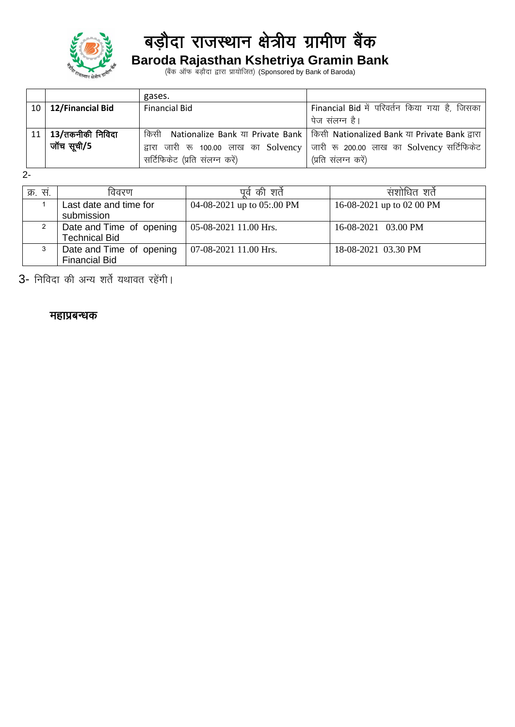

## **Baroda Rajasthan Kshetriya Gramin Bank**

(बैंक ऑफ बड़ौदा द्वारा प्रायोजित) (Sponsored by Bank of Baroda)

|                             | gases.                                  |                                                                                  |
|-----------------------------|-----------------------------------------|----------------------------------------------------------------------------------|
| $10 \mid 12$ /Financial Bid | <b>Financial Bid</b>                    | Financial Bid में परिवर्तन किया गया है, जिसका                                    |
|                             |                                         | पेज संलग्न है।                                                                   |
| $11$   $13$ /तकनीकी निविदा  | किसी                                    | Nationalize Bank या Private Bank   किसी Nationalized Bank या Private Bank द्वारा |
| जॉच सूची/5                  | द्वारा जारी रू 100.00 लाख का $Solvency$ | जारी रू 200.00 लाख का Solvency सर्टिफिकेट                                        |
|                             | सर्टिफिकेट (प्रति संलग्न करें)          | (प्रति संलग्न करें)                                                              |

2-

| क्र. स. | विवरण                                            | पर्व की शर्त               | संशोधित शर्त              |
|---------|--------------------------------------------------|----------------------------|---------------------------|
|         | Last date and time for<br>submission             | 04-08-2021 up to 05:.00 PM | 16-08-2021 up to 02 00 PM |
|         | Date and Time of opening<br><b>Technical Bid</b> | 05-08-2021 11.00 Hrs.      | 16-08-2021 03.00 PM       |
| 3       | Date and Time of opening<br><b>Financial Bid</b> | 07-08-2021 11.00 Hrs.      | 18-08-2021 03.30 PM       |

3- निविदा की अन्य शर्ते यथावत रहेंगी।

#### महाप्रबन्धक